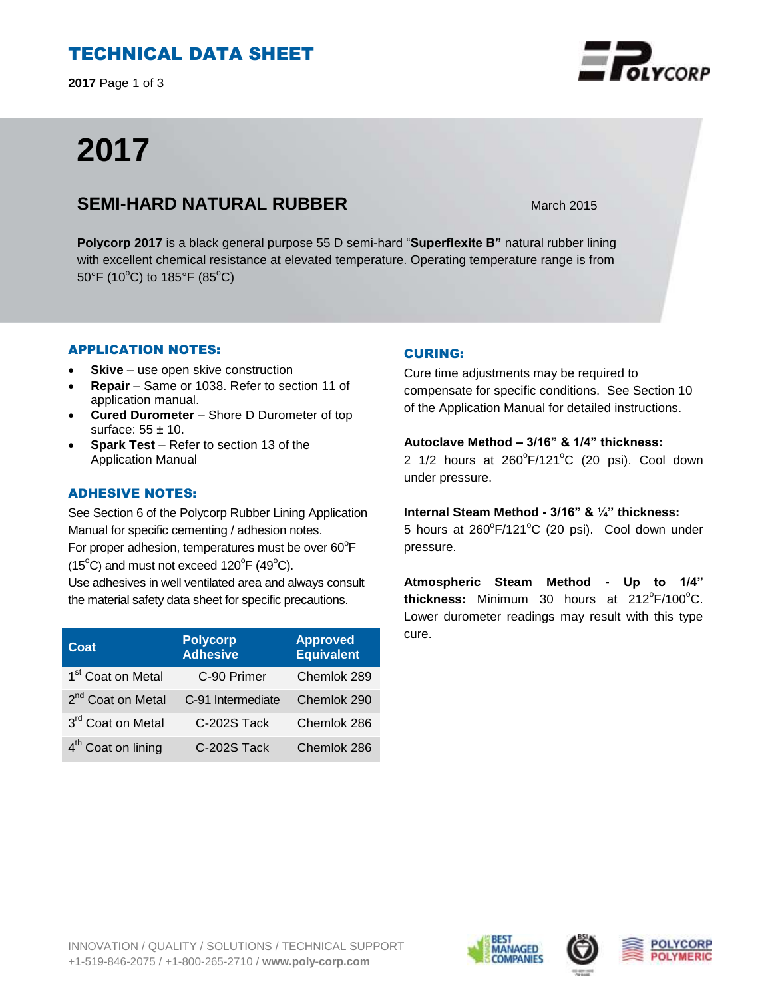# TECHNICAL DATA SHEET

**2017** Page 1 of 3

# **2017**

## **SEMI-HARD NATURAL RUBBER** March 2015

**Polycorp 2017** is a black general purpose 55 D semi-hard "**Superflexite B"** natural rubber lining with excellent chemical resistance at elevated temperature. Operating temperature range is from 50°F (10°C) to 185°F (85°C)

## APPLICATION NOTES:

- **Skive** use open skive construction
- **Repair**  Same or 1038. Refer to section 11 of application manual.
- **Cured Durometer**  Shore D Durometer of top surface:  $55 \pm 10$ .
- **Spark Test**  Refer to section 13 of the Application Manual

## ADHESIVE NOTES:

See Section 6 of the Polycorp Rubber Lining Application Manual for specific cementing / adhesion notes. For proper adhesion, temperatures must be over  $60^{\circ}$ F  $(15^{\circ}C)$  and must not exceed  $120^{\circ}F(49^{\circ}C)$ . Use adhesives in well ventilated area and always consult the material safety data sheet for specific precautions.

| Coat                           | <b>Polycorp</b><br><b>Adhesive</b> | <b>Approved</b><br><b>Equivalent</b> |
|--------------------------------|------------------------------------|--------------------------------------|
| 1 <sup>st</sup> Coat on Metal  | C-90 Primer                        | Chemlok 289                          |
| 2 <sup>nd</sup> Coat on Metal  | C-91 Intermediate                  | Chemlok 290                          |
| 3rd Coat on Metal              | C-202S Tack                        | Chemlok 286                          |
| 4 <sup>th</sup> Coat on lining | C-202S Tack                        | Chemlok 286                          |

## CURING:

Cure time adjustments may be required to compensate for specific conditions. See Section 10 of the Application Manual for detailed instructions.

## **Autoclave Method – 3/16" & 1/4" thickness:**

2  $1/2$  hours at  $260^{\circ}F/121^{\circ}C$  (20 psi). Cool down under pressure.

#### **Internal Steam Method - 3/16" & ¼" thickness:**

5 hours at 260°F/121°C (20 psi). Cool down under pressure.

**Atmospheric Steam Method - Up to 1/4"**  thickness: Minimum 30 hours at 212°F/100°C. Lower durometer readings may result with this type cure.





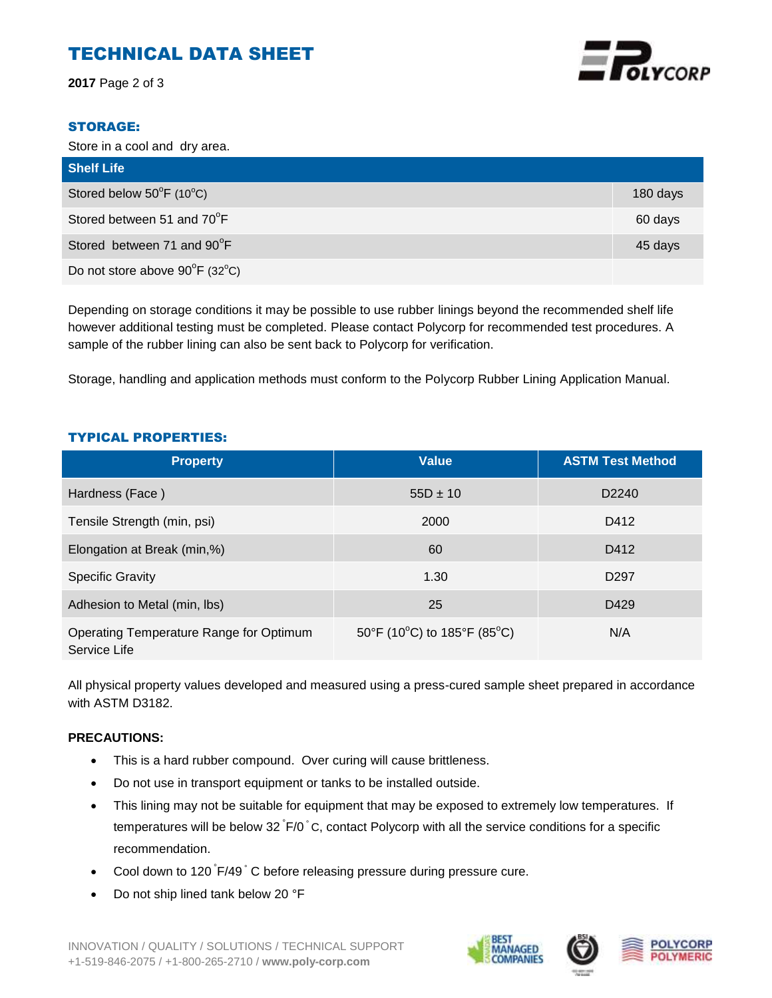# TECHNICAL DATA SHEET

**2017** Page 2 of 3



#### STORAGE:

Store in a cool and dry area.

| <b>Shelf Life</b>              |          |
|--------------------------------|----------|
| Stored below 50°F (10°C)       | 180 days |
| Stored between 51 and 70°F     | 60 days  |
| Stored between 71 and 90°F     | 45 days  |
| Do not store above 90°F (32°C) |          |

Depending on storage conditions it may be possible to use rubber linings beyond the recommended shelf life however additional testing must be completed. Please contact Polycorp for recommended test procedures. A sample of the rubber lining can also be sent back to Polycorp for verification.

Storage, handling and application methods must conform to the Polycorp Rubber Lining Application Manual.

#### TYPICAL PROPERTIES:

| <b>Property</b>                                         | <b>Value</b>                | <b>ASTM Test Method</b> |
|---------------------------------------------------------|-----------------------------|-------------------------|
| Hardness (Face)                                         | $55D \pm 10$                | D <sub>2240</sub>       |
| Tensile Strength (min, psi)                             | 2000                        | D412                    |
| Elongation at Break (min,%)                             | 60                          | D412                    |
| <b>Specific Gravity</b>                                 | 1.30                        | D <sub>297</sub>        |
| Adhesion to Metal (min, lbs)                            | 25                          | D429                    |
| Operating Temperature Range for Optimum<br>Service Life | 50°F (10°C) to 185°F (85°C) | N/A                     |

All physical property values developed and measured using a press-cured sample sheet prepared in accordance with ASTM D3182.

#### **PRECAUTIONS:**

- This is a hard rubber compound. Over curing will cause brittleness.
- Do not use in transport equipment or tanks to be installed outside.
- This lining may not be suitable for equipment that may be exposed to extremely low temperatures. If temperatures will be below 32 F/0 °C, contact Polycorp with all the service conditions for a specific recommendation.
- Cool down to 120 F/49 °C before releasing pressure during pressure cure.
- Do not ship lined tank below 20 °F